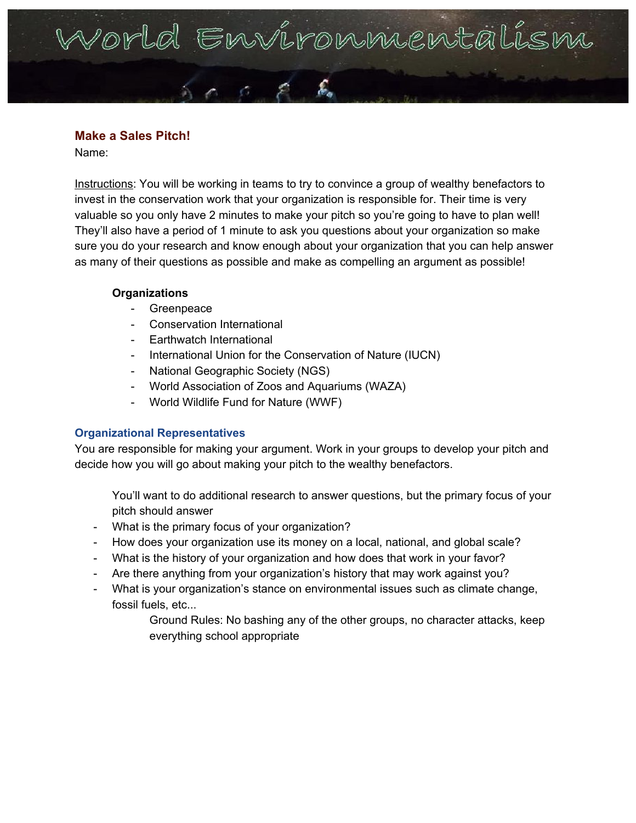# Vorld Environmental

# **Make a Sales Pitch!**

Name:

Instructions: You will be working in teams to try to convince a group of wealthy benefactors to invest in the conservation work that your organization is responsible for. Their time is very valuable so you only have 2 minutes to make your pitch so you're going to have to plan well! They'll also have a period of 1 minute to ask you questions about your organization so make sure you do your research and know enough about your organization that you can help answer as many of their questions as possible and make as compelling an argument as possible!

## **Organizations**

- **Greenpeace**
- Conservation International
- Earthwatch International
- International Union for the Conservation of Nature (IUCN)
- National Geographic Society (NGS)
- World Association of Zoos and Aquariums (WAZA)
- World Wildlife Fund for Nature (WWF)

## **Organizational Representatives**

You are responsible for making your argument. Work in your groups to develop your pitch and decide how you will go about making your pitch to the wealthy benefactors.

You'll want to do additional research to answer questions, but the primary focus of your pitch should answer

- What is the primary focus of your organization?
- How does your organization use its money on a local, national, and global scale?
- What is the history of your organization and how does that work in your favor?
- Are there anything from your organization's history that may work against you?
- What is your organization's stance on environmental issues such as climate change, fossil fuels, etc...

Ground Rules: No bashing any of the other groups, no character attacks, keep everything school appropriate